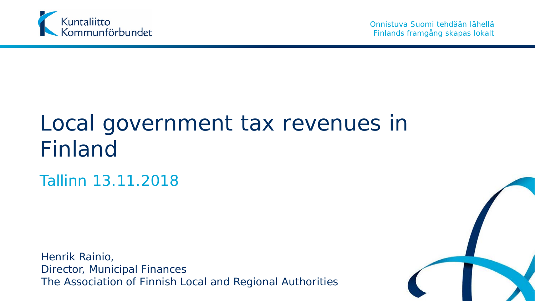

### Local government tax revenues in Finland

Tallinn 13.11.2018

Henrik Rainio, Director, Municipal Finances The Association of Finnish Local and Regional Authorities

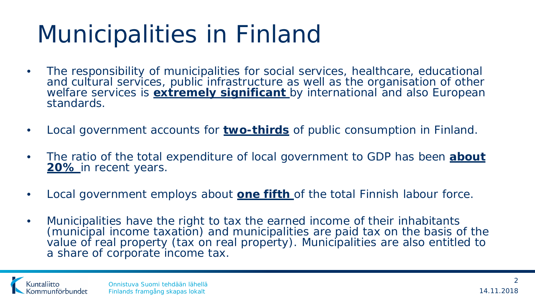## Municipalities in Finland

- The responsibility of municipalities for social services, healthcare, educational and cultural services, public infrastructure as well as the organisation of other welfare services is **extremely significant** by international and also European standards.
- Local government accounts for **two-thirds** of public consumption in Finland.
- The ratio of the total expenditure of local government to GDP has been **about 20%** in recent years.
- Local government employs about **one fifth** of the total Finnish labour force.
- Municipalities have the right to tax the earned income of their inhabitants (municipal income taxation) and municipalities are paid tax on the basis of the value of real property (tax on real property). Municipalities are also entitled to a share of corporate income tax.

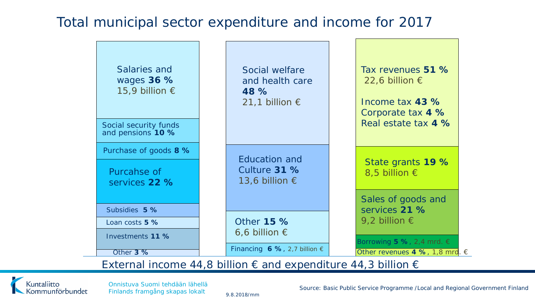### Total municipal sector expenditure and income for 2017



#### External income 44,8 billion  $\epsilon$  and expenditure 44,3 billion  $\epsilon$

Kuntaliitto Kommunförbundet

Onnistuva Suomi tehdään lähellä Finlands framgång skapas lokalt

Source: Basic Public Service Programme /Local and Regional Government Finland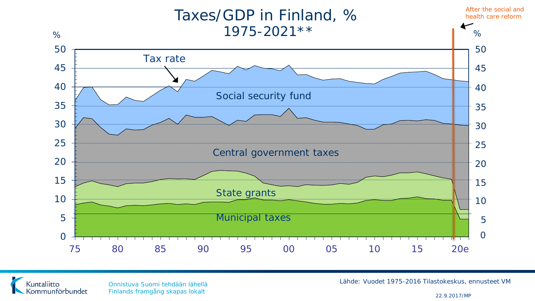



Onnistuva Suomi tehdään lähellä Finlands framgång skapas lokalt 22.9.2017/MP

Lähde: Vuodet 1975-2016 Tilastokeskus, ennusteet VM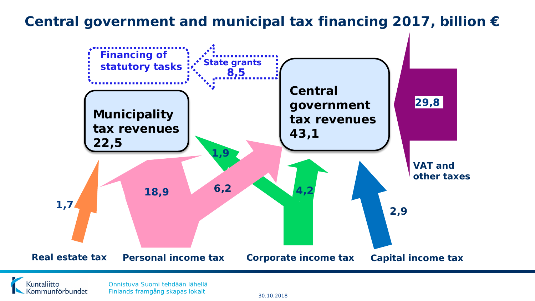### **Central government and municipal tax financing 2017, billion €**



Kuntaliitto .<br>Sommunförbundet

Onnistuva Suomi tehdään lähellä Finlands framgång skapas lokalt 30.10.2018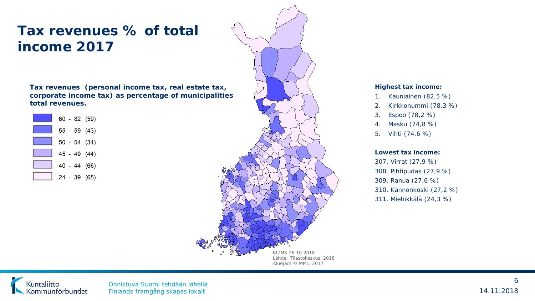### **Tax revenues % of total income 2017**

**Tax revenues (personal income tax, real estate tax, corporate income tax) as percentage of municipalities total revenues.** 





#### **Highest tax income:**

- 1. Kauniainen (82,5 %)
- 2. Kirkkonummi (78,3 %)
- 3. Espoo (78,2 %)
- 4. Masku (74,8 %)
- 5. Vihti (74,6 %)

#### **Lowest tax income:**

307. Virrat (27,9 %) 308. Pihtipudas (27,9 %) 309. Ranua (27,6 %) 310. Kannonkoski (27,2 %) 311. Miehikkälä (24,3 %)



Onnistuva Suomi tehdään lähellä Finlands framgång skapas lokalt 14.11.2018

6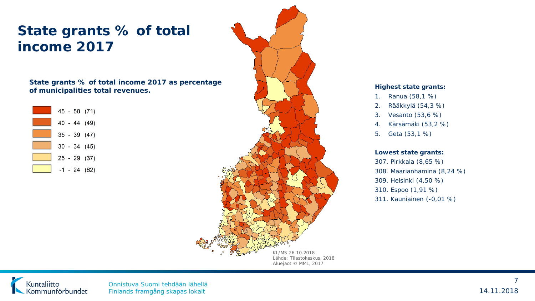### **State grants % of total income 2017**

**State grants % of total income 2017 as percentage of municipalities total revenues.** 





#### **Highest state grants:**

- 1. Ranua (58,1 %)
- 2. Rääkkylä (54,3 %)
- 3. Vesanto (53,6 %)
- 4. Kärsämäki (53,2 %)
- 5. Geta (53,1 %)

#### **Lowest state grants:**

307. Pirkkala (8,65 %) 308. Maarianhamina (8,24 %) 309. Helsinki (4,50 %) 310. Espoo (1,91 %) 311. Kauniainen (-0,01 %)



Onnistuva Suomi tehdään lähellä Finlands framgång skapas lokalt 14.11.2018

7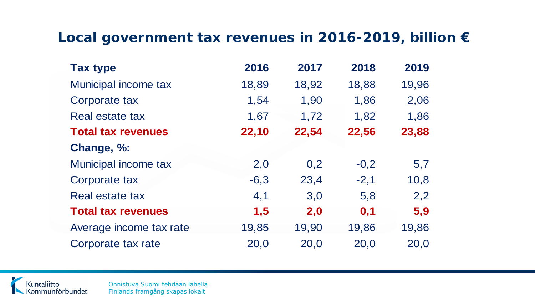### **Local government tax revenues in 2016-2019, billion €**

| <b>Tax type</b>           | 2016   | 2017  | 2018   | 2019  |
|---------------------------|--------|-------|--------|-------|
| Municipal income tax      | 18,89  | 18,92 | 18,88  | 19,96 |
| Corporate tax             | 1,54   | 1,90  | 1,86   | 2,06  |
| Real estate tax           | 1,67   | 1,72  | 1,82   | 1,86  |
| <b>Total tax revenues</b> | 22,10  | 22,54 | 22,56  | 23,88 |
| Change, %:                |        |       |        |       |
| Municipal income tax      | 2,0    | 0,2   | $-0,2$ | 5,7   |
| Corporate tax             | $-6,3$ | 23,4  | $-2,1$ | 10,8  |
| Real estate tax           | 4,1    | 3,0   | 5,8    | 2,2   |
| <b>Total tax revenues</b> | 1,5    | 2,0   | 0,1    | 5,9   |
| Average income tax rate   | 19,85  | 19,90 | 19,86  | 19,86 |
| Corporate tax rate        | 20,0   | 20,0  | 20,0   | 20,0  |



Onnistuva Suomi tehdään lähellä Finlands framgång skapas lokalt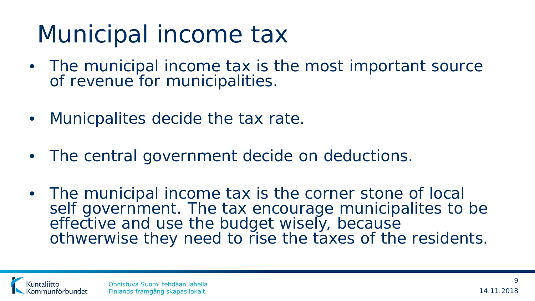## Municipal income tax

- The municipal income tax is the most important source of revenue for municipalities.
- Municpalites decide the tax rate.
- The central government decide on deductions.
- The municipal income tax is the corner stone of local self government. The tax encourage municipalites to be effective and use the budget wisely, because othwerwise they need to rise the taxes of the residents.

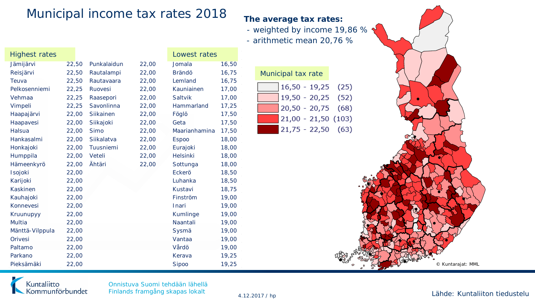### Municipal income tax rates 2018 **The average tax rates:**

- weighted by income 19,86 %
- arithmetic mean 20,76 %

| <b>Highest rates</b> |       |             |       | Lowest rates  |       |                         |
|----------------------|-------|-------------|-------|---------------|-------|-------------------------|
| Jämijärvi            | 22,50 | Punkalaidun | 22,00 | Jomala        | 16,50 |                         |
| Reisjärvi            | 22,50 | Rautalampi  | 22,00 | Brändö        | 16,75 | Municipal tax rate      |
| Teuva                | 22,50 | Rautavaara  | 22,00 | Lemland       | 16,75 |                         |
| Pelkosenniemi        | 22,25 | Ruovesi     | 22,00 | Kauniainen    | 17,00 | $16,50 - 19,25$<br>(25) |
| Vehmaa               | 22,25 | Raasepori   | 22,00 | Saltvik       | 17,00 | $19,50 - 20,25$<br>(52) |
| Vimpeli              | 22,25 | Savonlinna  | 22,00 | Hammarland    | 17,25 | $20,50 - 20,75$<br>(68) |
| Haapajärvi           | 22,00 | Siikainen   | 22,00 | Föglö         | 17,50 |                         |
| Haapavesi            | 22,00 | Siikajoki   | 22,00 | Geta          | 17,50 | $21,00 - 21,50(103)$    |
| Halsua               | 22,00 | <b>Simo</b> | 22,00 | Maarianhamina | 17,50 | $21,75 - 22,50$ (63)    |
| Hankasalmi           | 22,00 | Siikalatva  | 22,00 | <b>Espoo</b>  | 18,00 |                         |
| Honkajoki            | 22,00 | Tuusniemi   | 22,00 | Eurajoki      | 18,00 |                         |
| Humppila             | 22,00 | Veteli      | 22,00 | Helsinki      | 18,00 |                         |
| Hämeenkyrö           | 22,00 | Ähtäri      | 22,00 | Sottunga      | 18,00 |                         |
| Isojoki              | 22,00 |             |       | Eckerö        | 18,50 |                         |
| Karijoki             | 22,00 |             |       | Luhanka       | 18,50 |                         |
| Kaskinen             | 22,00 |             |       | Kustavi       | 18,75 |                         |
| Kauhajoki            | 22,00 |             |       | Finström      | 19,00 |                         |
| Konnevesi            | 22,00 |             |       | Inari         | 19,00 |                         |
| Kruunupyy            | 22,00 |             |       | Kumlinge      | 19,00 |                         |
| Multia               | 22,00 |             |       | Naantali      | 19,00 |                         |
| Mänttä-Vilppula      | 22,00 |             |       | Sysmä         | 19,00 |                         |
| Orivesi              | 22,00 |             |       | Vantaa        | 19,00 |                         |
| Paltamo              | 22,00 |             |       | Vårdö         | 19,00 |                         |
| Parkano              | 22,00 |             |       | Kerava        | 19,25 |                         |
| Pieksämäki           | 22,00 |             |       | Sipoo         | 19,25 | © Kuntarajat: MML       |

| Municipal tax rate   |  |
|----------------------|--|
| $16,50 - 19,25$ (25) |  |
| $19,50 - 20,25$ (52) |  |
| $20,50 - 20,75$ (68) |  |
| $21,00 - 21,50(103)$ |  |
| $21,75 - 22,50$ (63) |  |



Onnistuva Suomi tehdään lähellä Finlands framgång skapas lokalt

#### 4.12.2017 / hp Lähde: Kuntaliiton tiedustelu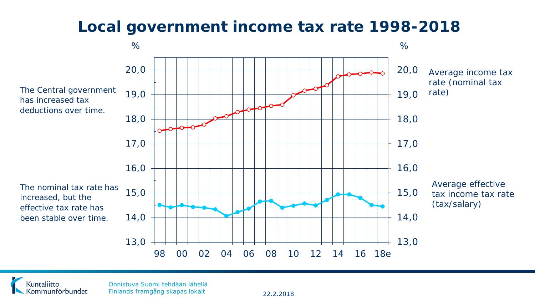### **Local government income tax rate 1998-2018**





Onnistuva Suomi tehdään lähellä Finlands framgång skapas lokalt 22.2.2018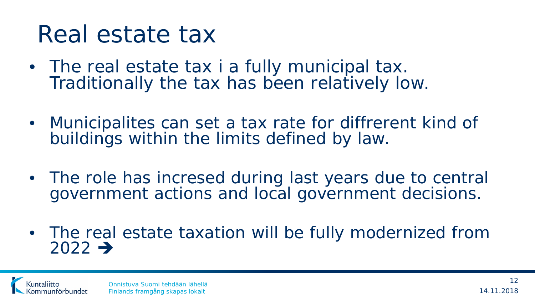## Real estate tax

- The real estate tax i a fully municipal tax.<br>Traditionally the tax has been relatively low.
- Municipalites can set a tax rate for diffrerent kind of buildings within the limits defined by law.
- The role has incresed during last years due to central government actions and local government decisions.
- The real estate taxation will be fully modernized from  $2022 \rightarrow$

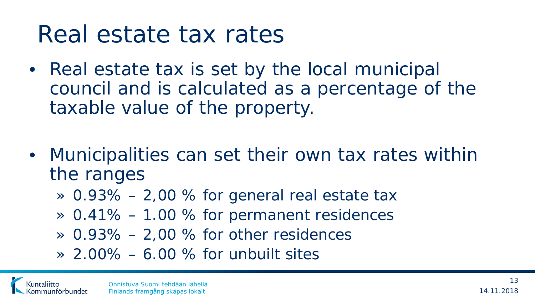## Real estate tax rates

- Real estate tax is set by the local municipal council and is calculated as a percentage of the taxable value of the property.
- Municipalities can set their own tax rates within the ranges
	- $\approx$  0.93% 2,00 % for general real estate tax
	- » 0.41% 1.00 % for permanent residences
	- $\approx$  0.93% 2,00 % for other residences
	- » 2.00% 6.00 % for unbuilt sites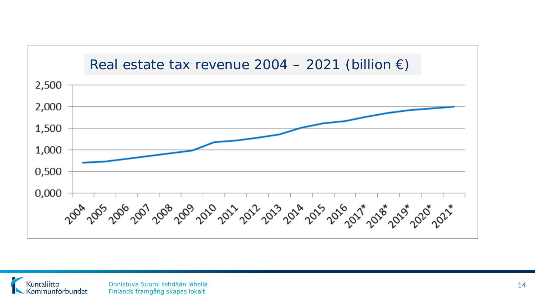

Kuntaliitto Kommunförbundet

Onnistuva Suomi tehdään lähellä Finlands framgång skapas lokalt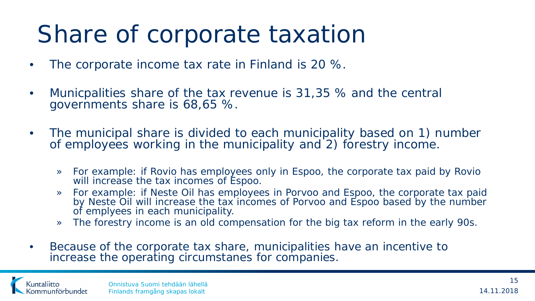## Share of corporate taxation

- The corporate income tax rate in Finland is 20 %.
- Municpalities share of the tax revenue is 31,35 % and the central governments share is 68,65 %.
- The municipal share is divided to each municipality based on 1) number of employees working in the municipality and 2) forestry income.
	- » For example: if Rovio has employees only in Espoo, the corporate tax paid by Rovio will increase the tax incomes of Espoo.
	- » For example: if Neste Oil has employees in Porvoo and Espoo, the corporate tax paid by Neste Oil will increase the tax incomes of Porvoo and Espoo based by the number of emplyees in each municipality.
	- » The forestry income is an old compensation for the big tax reform in the early 90s.
- Because of the corporate tax share, municipalities have an incentive to increase the operating circumstanes for companies.

untaliitto